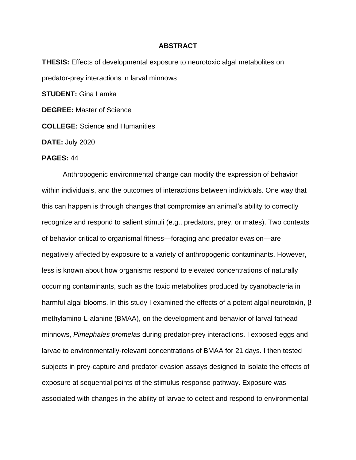## **ABSTRACT**

**THESIS:** Effects of developmental exposure to neurotoxic algal metabolites on predator-prey interactions in larval minnows **STUDENT:** Gina Lamka **DEGREE:** Master of Science

**COLLEGE:** Science and Humanities

**DATE:** July 2020

## **PAGES:** 44

Anthropogenic environmental change can modify the expression of behavior within individuals, and the outcomes of interactions between individuals. One way that this can happen is through changes that compromise an animal's ability to correctly recognize and respond to salient stimuli (e.g., predators, prey, or mates). Two contexts of behavior critical to organismal fitness—foraging and predator evasion—are negatively affected by exposure to a variety of anthropogenic contaminants. However, less is known about how organisms respond to elevated concentrations of naturally occurring contaminants, such as the toxic metabolites produced by cyanobacteria in harmful algal blooms. In this study I examined the effects of a potent algal neurotoxin, βmethylamino-L-alanine (BMAA), on the development and behavior of larval fathead minnows, *Pimephales promelas* during predator-prey interactions. I exposed eggs and larvae to environmentally-relevant concentrations of BMAA for 21 days. I then tested subjects in prey-capture and predator-evasion assays designed to isolate the effects of exposure at sequential points of the stimulus-response pathway. Exposure was associated with changes in the ability of larvae to detect and respond to environmental